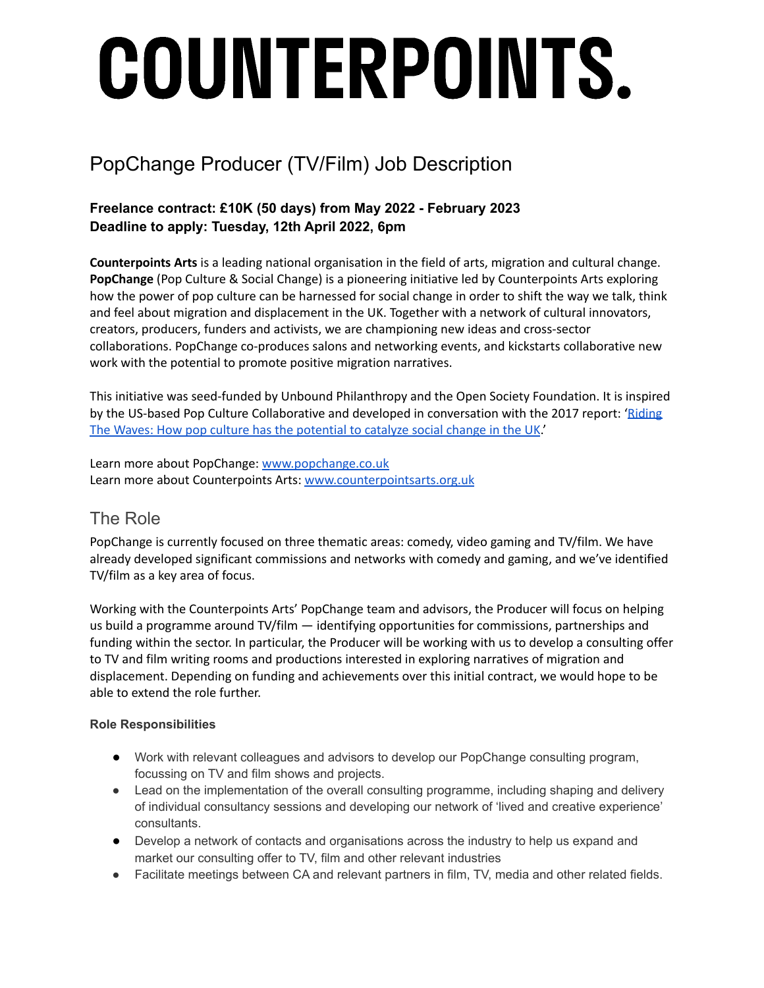# COUNTERPOINTS.

# PopChange Producer (TV/Film) Job Description

#### **Freelance contract: £10K (50 days) from May 2022 - February 2023 Deadline to apply: Tuesday, 12th April 2022, 6pm**

**Counterpoints Arts** is a leading national organisation in the field of arts, migration and cultural change. **PopChange** (Pop Culture & Social Change) is a pioneering initiative led by Counterpoints Arts exploring how the power of pop culture can be harnessed for social change in order to shift the way we talk, think and feel about migration and displacement in the UK. Together with a network of cultural innovators, creators, producers, funders and activists, we are championing new ideas and cross-sector collaborations. PopChange co-produces salons and networking events, and kickstarts collaborative new work with the potential to promote positive migration narratives.

This initiative was seed-funded by Unbound Philanthropy and the Open Society Foundation. It is inspired by the US-based Pop Culture Collaborative and developed in conversation with the 2017 report: ['Riding](https://popchange.co.uk/2018/11/23/riding-the-waves-how-pop-culture-has-the-potential-to-catalyse-social-change-in-the-uk/) The Waves: How pop culture has the [potential](https://popchange.co.uk/2018/11/23/riding-the-waves-how-pop-culture-has-the-potential-to-catalyse-social-change-in-the-uk/) to catalyze social change in the UK.'

Learn more about PopChange: [www.popchange.co.uk](http://www.popchange.co.uk) Learn more about Counterpoints Arts: [www.counterpointsarts.org.uk](http://www.counterpointsarts.org.uk)

## The Role

PopChange is currently focused on three thematic areas: comedy, video gaming and TV/film. We have already developed significant commissions and networks with comedy and gaming, and we've identified TV/film as a key area of focus.

Working with the Counterpoints Arts' PopChange team and advisors, the Producer will focus on helping us build a programme around TV/film — identifying opportunities for commissions, partnerships and funding within the sector. In particular, the Producer will be working with us to develop a consulting offer to TV and film writing rooms and productions interested in exploring narratives of migration and displacement. Depending on funding and achievements over this initial contract, we would hope to be able to extend the role further.

#### **Role Responsibilities**

- Work with relevant colleagues and advisors to develop our PopChange consulting program, focussing on TV and film shows and projects.
- Lead on the implementation of the overall consulting programme, including shaping and delivery of individual consultancy sessions and developing our network of 'lived and creative experience' consultants.
- Develop a network of contacts and organisations across the industry to help us expand and market our consulting offer to TV, film and other relevant industries
- Facilitate meetings between CA and relevant partners in film, TV, media and other related fields.